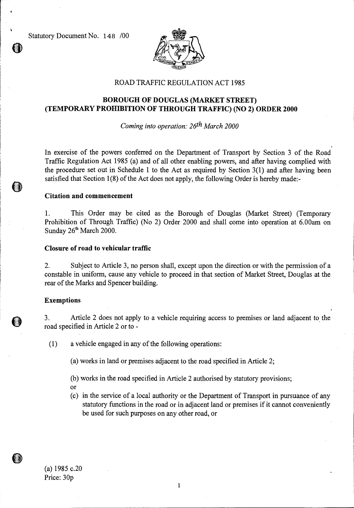Statutory Document No. 148 /00



## ROAD TRAFFIC REGULATION ACT 1985

# **BOROUGH OF DOUGLAS (MARKET STREET) (TEMPORARY PROHIBITION OF THROUGH TRAFFIC) (NO 2) ORDER 2000**

*Coming into operation: 26th March 2000* 

In exercise of the powers conferred on the Department of Transport by Section 3 of the Road Traffic Regulation Act 1985 (a) and of all other enabling powers, and after having complied with the procedure set out in Schedule 1 to the Act as required by Section 3(1) and after having been satisfied that Section 1(8) of the Act does not apply, the following Order is hereby made:-

## **Citation and commencement**

1. This Order may be cited as the Borough of Douglas (Market Street) (Temporary Prohibition of Through Traffic) (No 2) Order 2000 and shall come into operation at 6.00am on Sunday 26<sup>th</sup> March 2000.

#### **Closure of road to vehicular traffic**

2. Subject to Article 3, no person shall, except upon the direction or with the permission of a constable in uniform, cause any vehicle to proceed in that section of Market Street, Douglas at the rear of the Marks and Spencer building.

#### **Exemptions**

3. Article 2 does not apply to a vehicle requiring access to premises or land adjacent to the road specified in Article 2 or to -

(1) a vehicle engaged in any of the following operations:

(a) works in land or premises adjacent to the road specified in Article 2;

- (b) works in the road specified in Article 2 authorised by statutory provisions;
- Or
- (c) in the service of a local authority or the Department of Transport in pursuance of any statutory functions in the road or in adjacent land or premises if it cannot conveniently be used for such purposes on any other road, or